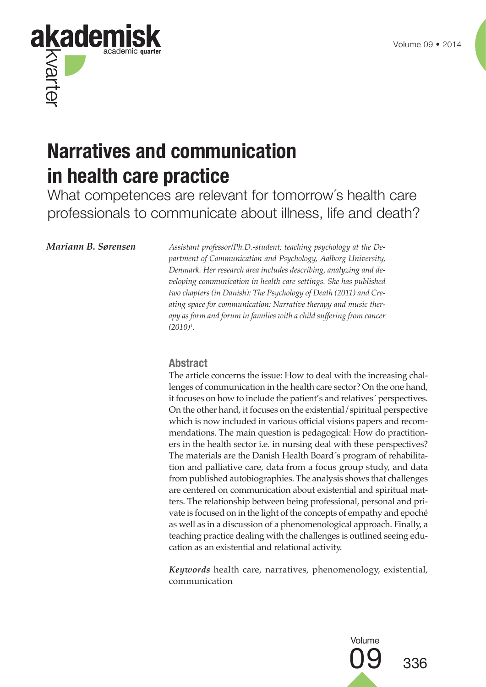

# **Narratives and communication in health care practice**

What competences are relevant for tomorrow´s health care professionals to communicate about illness, life and death?

*Mariann B. Sørensen Assistant professor/Ph.D.-student; teaching psychology at the Department of Communication and Psychology, Aalborg University, Denmark. Her research area includes describing, analyzing and developing communication in health care settings. She has published two chapters (in Danish): The Psychology of Death (2011) and Creating space for communication: Narrative therapy and music therapy as form and forum in families with a child suffering from cancer (2010)*<sup>1</sup> *.*

### **Abstract**

The article concerns the issue: How to deal with the increasing challenges of communication in the health care sector? On the one hand, it focuses on how to include the patient's and relatives´ perspectives. On the other hand, it focuses on the existential/spiritual perspective which is now included in various official visions papers and recommendations. The main question is pedagogical: How do practitioners in the health sector i.e. in nursing deal with these perspectives? The materials are the Danish Health Board´s program of rehabilitation and palliative care, data from a focus group study, and data from published autobiographies. The analysis shows that challenges are centered on communication about existential and spiritual matters. The relationship between being professional, personal and private is focused on in the light of the concepts of empathy and epoché as well as in a discussion of a phenomenological approach. Finally, a teaching practice dealing with the challenges is outlined seeing education as an existential and relational activity.

*Keywords* health care, narratives, phenomenology, existential, communication

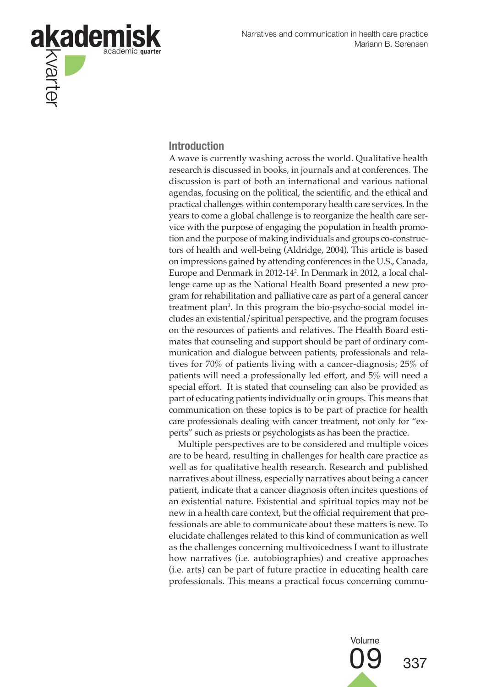

#### **Introduction**

A wave is currently washing across the world. Qualitative health research is discussed in books, in journals and at conferences. The discussion is part of both an international and various national agendas, focusing on the political, the scientific, and the ethical and practical challenges within contemporary health care services. In the years to come a global challenge is to reorganize the health care service with the purpose of engaging the population in health promotion and the purpose of making individuals and groups co-constructors of health and well-being (Aldridge, 2004). This article is based on impressions gained by attending conferences in the U.S., Canada, Europe and Denmark in 2012-14<sup>2</sup> . In Denmark in 2012, a local challenge came up as the National Health Board presented a new program for rehabilitation and palliative care as part of a general cancer treatment plan<sup>3</sup>. In this program the bio-psycho-social model includes an existential/spiritual perspective, and the program focuses on the resources of patients and relatives. The Health Board estimates that counseling and support should be part of ordinary communication and dialogue between patients, professionals and relatives for 70% of patients living with a cancer-diagnosis; 25% of patients will need a professionally led effort, and 5% will need a special effort. It is stated that counseling can also be provided as part of educating patients individually or in groups. This means that communication on these topics is to be part of practice for health care professionals dealing with cancer treatment, not only for "experts" such as priests or psychologists as has been the practice.

Multiple perspectives are to be considered and multiple voices are to be heard, resulting in challenges for health care practice as well as for qualitative health research. Research and published narratives about illness, especially narratives about being a cancer patient, indicate that a cancer diagnosis often incites questions of an existential nature. Existential and spiritual topics may not be new in a health care context, but the official requirement that professionals are able to communicate about these matters is new. To elucidate challenges related to this kind of communication as well as the challenges concerning multivoicedness I want to illustrate how narratives (i.e. autobiographies) and creative approaches (i.e. arts) can be part of future practice in educating health care professionals. This means a practical focus concerning commu-

Volume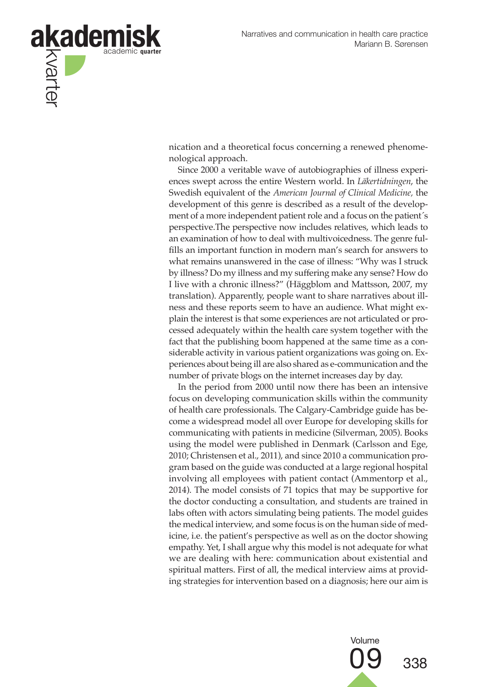

nication and a theoretical focus concerning a renewed phenomenological approach.

Since 2000 a veritable wave of autobiographies of illness experiences swept across the entire Western world. In *Läkertidningen*, the Swedish equivalent of the *American Journal of Clinical Medicine,* the development of this genre is described as a result of the development of a more independent patient role and a focus on the patient´s perspective.The perspective now includes relatives, which leads to an examination of how to deal with multivoicedness. The genre fulfills an important function in modern man's search for answers to what remains unanswered in the case of illness: "Why was I struck by illness? Do my illness and my suffering make any sense? How do I live with a chronic illness?" (Häggblom and Mattsson, 2007, my translation). Apparently, people want to share narratives about illness and these reports seem to have an audience. What might explain the interest is that some experiences are not articulated or processed adequately within the health care system together with the fact that the publishing boom happened at the same time as a considerable activity in various patient organizations was going on. Experiences about being ill are also shared as e-communication and the number of private blogs on the internet increases day by day.

In the period from 2000 until now there has been an intensive focus on developing communication skills within the community of health care professionals. The Calgary-Cambridge guide has become a widespread model all over Europe for developing skills for communicating with patients in medicine (Silverman, 2005). Books using the model were published in Denmark (Carlsson and Ege, 2010; Christensen et al., 2011), and since 2010 a communication program based on the guide was conducted at a large regional hospital involving all employees with patient contact (Ammentorp et al., 2014). The model consists of 71 topics that may be supportive for the doctor conducting a consultation, and students are trained in labs often with actors simulating being patients. The model guides the medical interview, and some focus is on the human side of medicine, i.e. the patient's perspective as well as on the doctor showing empathy. Yet, I shall argue why this model is not adequate for what we are dealing with here: communication about existential and spiritual matters. First of all, the medical interview aims at providing strategies for intervention based on a diagnosis; here our aim is

> Volume 09 <sub>338</sub>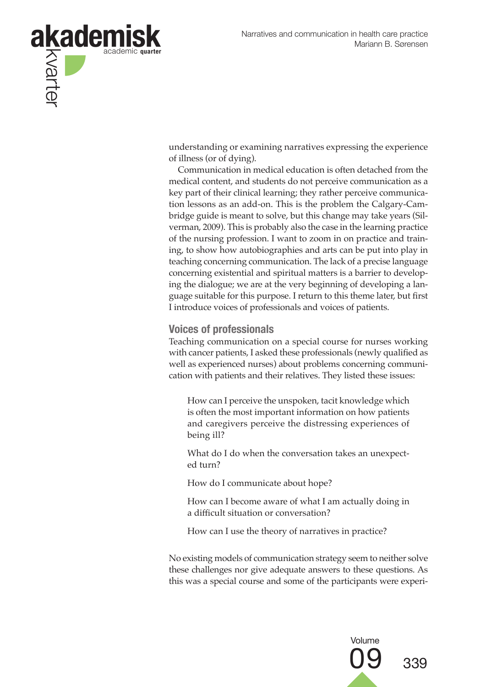

understanding or examining narratives expressing the experience of illness (or of dying).

Communication in medical education is often detached from the medical content, and students do not perceive communication as a key part of their clinical learning; they rather perceive communication lessons as an add-on. This is the problem the Calgary-Cambridge guide is meant to solve, but this change may take years (Silverman, 2009). This is probably also the case in the learning practice of the nursing profession. I want to zoom in on practice and training, to show how autobiographies and arts can be put into play in teaching concerning communication. The lack of a precise language concerning existential and spiritual matters is a barrier to developing the dialogue; we are at the very beginning of developing a language suitable for this purpose. I return to this theme later, but first I introduce voices of professionals and voices of patients.

### **Voices of professionals**

Teaching communication on a special course for nurses working with cancer patients, I asked these professionals (newly qualified as well as experienced nurses) about problems concerning communication with patients and their relatives. They listed these issues:

How can I perceive the unspoken, tacit knowledge which is often the most important information on how patients and caregivers perceive the distressing experiences of being ill?

What do I do when the conversation takes an unexpected turn?

How do I communicate about hope?

How can I become aware of what I am actually doing in a difficult situation or conversation?

How can I use the theory of narratives in practice?

No existing models of communication strategy seem to neither solve these challenges nor give adequate answers to these questions. As this was a special course and some of the participants were experi-

Volume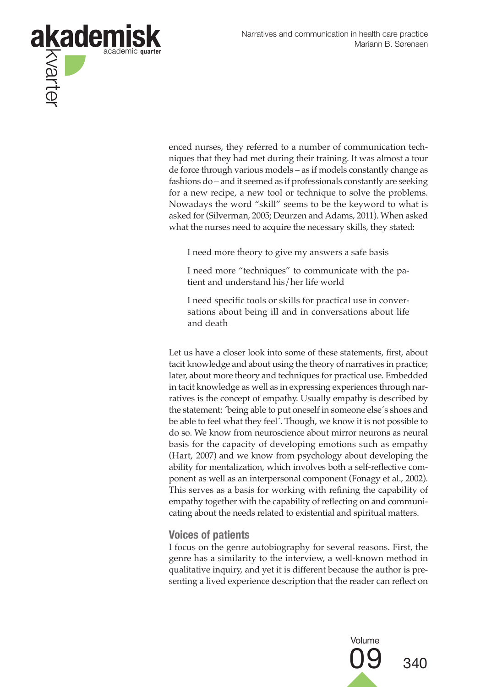

enced nurses, they referred to a number of communication techniques that they had met during their training. It was almost a tour de force through various models – as if models constantly change as fashions do – and it seemed as if professionals constantly are seeking for a new recipe, a new tool or technique to solve the problems. Nowadays the word "skill" seems to be the keyword to what is asked for (Silverman, 2005; Deurzen and Adams, 2011). When asked what the nurses need to acquire the necessary skills, they stated:

I need more theory to give my answers a safe basis

I need more "techniques" to communicate with the patient and understand his/her life world

I need specific tools or skills for practical use in conversations about being ill and in conversations about life and death

Let us have a closer look into some of these statements, first, about tacit knowledge and about using the theory of narratives in practice; later, about more theory and techniques for practical use. Embedded in tacit knowledge as well as in expressing experiences through narratives is the concept of empathy. Usually empathy is described by the statement: 'being able to put oneself in someone else's shoes and be able to feel what they feel´. Though, we know it is not possible to do so. We know from neuroscience about mirror neurons as neural basis for the capacity of developing emotions such as empathy (Hart, 2007) and we know from psychology about developing the ability for mentalization, which involves both a self-reflective component as well as an interpersonal component (Fonagy et al., 2002). This serves as a basis for working with refining the capability of empathy together with the capability of reflecting on and communicating about the needs related to existential and spiritual matters.

#### **Voices of patients**

I focus on the genre autobiography for several reasons. First, the genre has a similarity to the interview, a well-known method in qualitative inquiry, and yet it is different because the author is presenting a lived experience description that the reader can reflect on

Volume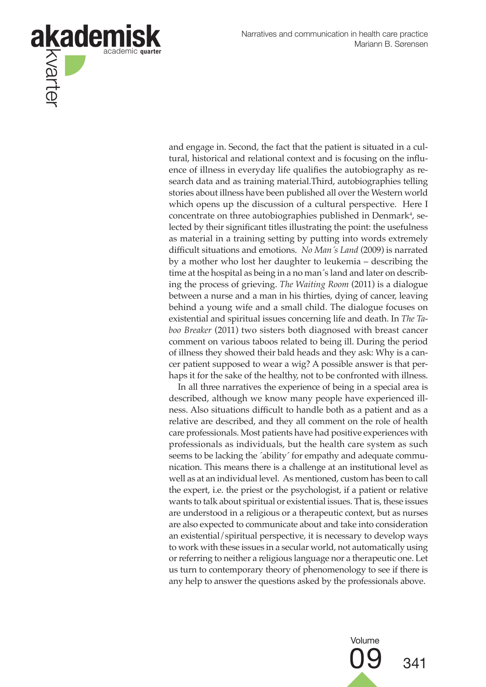

and engage in. Second, the fact that the patient is situated in a cultural, historical and relational context and is focusing on the influence of illness in everyday life qualifies the autobiography as research data and as training material.Third, autobiographies telling stories about illness have been published all over the Western world which opens up the discussion of a cultural perspective. Here I concentrate on three autobiographies published in Denmark<sup>4</sup>, selected by their significant titles illustrating the point: the usefulness as material in a training setting by putting into words extremely difficult situations and emotions. *No Man´s Land* (2009) is narrated by a mother who lost her daughter to leukemia – describing the time at the hospital as being in a no man´s land and later on describing the process of grieving. *The Waiting Room* (2011) is a dialogue between a nurse and a man in his thirties, dying of cancer, leaving behind a young wife and a small child. The dialogue focuses on existential and spiritual issues concerning life and death. In *The Taboo Breaker* (2011) two sisters both diagnosed with breast cancer comment on various taboos related to being ill. During the period of illness they showed their bald heads and they ask: Why is a cancer patient supposed to wear a wig? A possible answer is that perhaps it for the sake of the healthy, not to be confronted with illness.

In all three narratives the experience of being in a special area is described, although we know many people have experienced illness. Also situations difficult to handle both as a patient and as a relative are described, and they all comment on the role of health care professionals. Most patients have had positive experiences with professionals as individuals, but the health care system as such seems to be lacking the 'ability' for empathy and adequate communication. This means there is a challenge at an institutional level as well as at an individual level. As mentioned, custom has been to call the expert, i.e. the priest or the psychologist, if a patient or relative wants to talk about spiritual or existential issues. That is, these issues are understood in a religious or a therapeutic context, but as nurses are also expected to communicate about and take into consideration an existential/spiritual perspective, it is necessary to develop ways to work with these issues in a secular world, not automatically using or referring to neither a religious language nor a therapeutic one. Let us turn to contemporary theory of phenomenology to see if there is any help to answer the questions asked by the professionals above.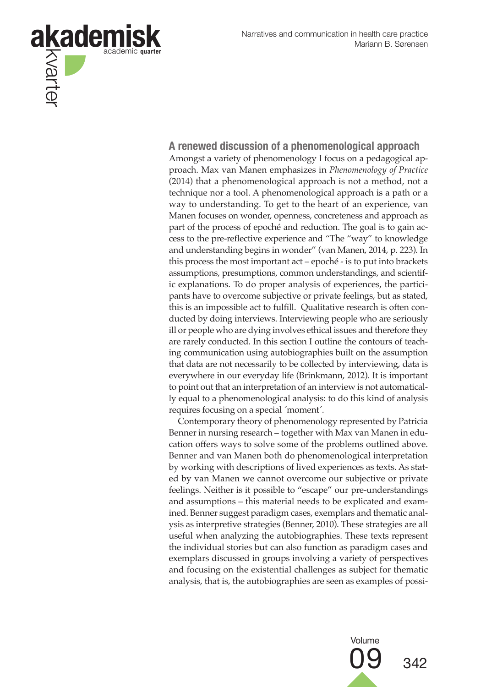

**A renewed discussion of a phenomenological approach** Amongst a variety of phenomenology I focus on a pedagogical approach. Max van Manen emphasizes in *Phenomenology of Practice* (2014) that a phenomenological approach is not a method, not a technique nor a tool. A phenomenological approach is a path or a way to understanding. To get to the heart of an experience, van Manen focuses on wonder, openness, concreteness and approach as part of the process of epoché and reduction. The goal is to gain access to the pre-reflective experience and "The "way" to knowledge and understanding begins in wonder" (van Manen, 2014, p. 223). In this process the most important act – epoché - is to put into brackets assumptions, presumptions, common understandings, and scientific explanations. To do proper analysis of experiences, the participants have to overcome subjective or private feelings, but as stated, this is an impossible act to fulfill. Qualitative research is often conducted by doing interviews. Interviewing people who are seriously ill or people who are dying involves ethical issues and therefore they are rarely conducted. In this section I outline the contours of teaching communication using autobiographies built on the assumption that data are not necessarily to be collected by interviewing, data is everywhere in our everyday life (Brinkmann, 2012). It is important to point out that an interpretation of an interview is not automatically equal to a phenomenological analysis: to do this kind of analysis requires focusing on a special ´moment´.

Contemporary theory of phenomenology represented by Patricia Benner in nursing research – together with Max van Manen in education offers ways to solve some of the problems outlined above. Benner and van Manen both do phenomenological interpretation by working with descriptions of lived experiences as texts. As stated by van Manen we cannot overcome our subjective or private feelings. Neither is it possible to "escape" our pre-understandings and assumptions – this material needs to be explicated and examined. Benner suggest paradigm cases, exemplars and thematic analysis as interpretive strategies (Benner, 2010). These strategies are all useful when analyzing the autobiographies. These texts represent the individual stories but can also function as paradigm cases and exemplars discussed in groups involving a variety of perspectives and focusing on the existential challenges as subject for thematic analysis, that is, the autobiographies are seen as examples of possi-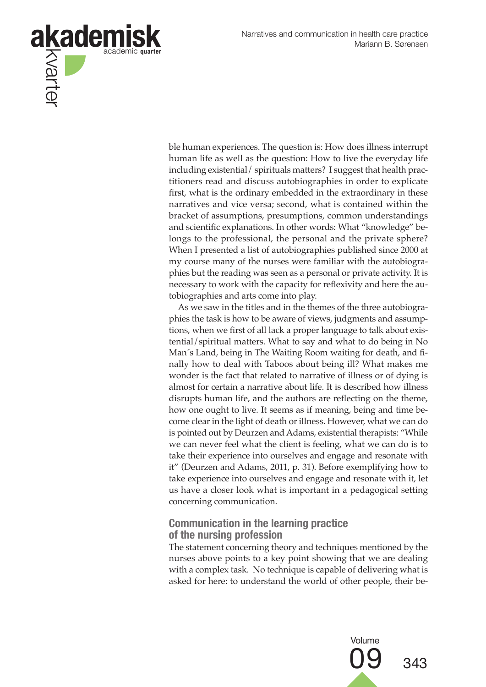

ble human experiences. The question is: How does illness interrupt human life as well as the question: How to live the everyday life including existential/ spirituals matters? I suggest that health practitioners read and discuss autobiographies in order to explicate first, what is the ordinary embedded in the extraordinary in these narratives and vice versa; second, what is contained within the bracket of assumptions, presumptions, common understandings and scientific explanations. In other words: What "knowledge" belongs to the professional, the personal and the private sphere? When I presented a list of autobiographies published since 2000 at my course many of the nurses were familiar with the autobiographies but the reading was seen as a personal or private activity. It is necessary to work with the capacity for reflexivity and here the autobiographies and arts come into play.

As we saw in the titles and in the themes of the three autobiographies the task is how to be aware of views, judgments and assumptions, when we first of all lack a proper language to talk about existential/spiritual matters. What to say and what to do being in No Man´s Land, being in The Waiting Room waiting for death, and finally how to deal with Taboos about being ill? What makes me wonder is the fact that related to narrative of illness or of dying is almost for certain a narrative about life. It is described how illness disrupts human life, and the authors are reflecting on the theme, how one ought to live. It seems as if meaning, being and time become clear in the light of death or illness. However, what we can do is pointed out by Deurzen and Adams, existential therapists: "While we can never feel what the client is feeling, what we can do is to take their experience into ourselves and engage and resonate with it" (Deurzen and Adams, 2011, p. 31). Before exemplifying how to take experience into ourselves and engage and resonate with it, let us have a closer look what is important in a pedagogical setting concerning communication.

### **Communication in the learning practice of the nursing profession**

The statement concerning theory and techniques mentioned by the nurses above points to a key point showing that we are dealing with a complex task. No technique is capable of delivering what is asked for here: to understand the world of other people, their be-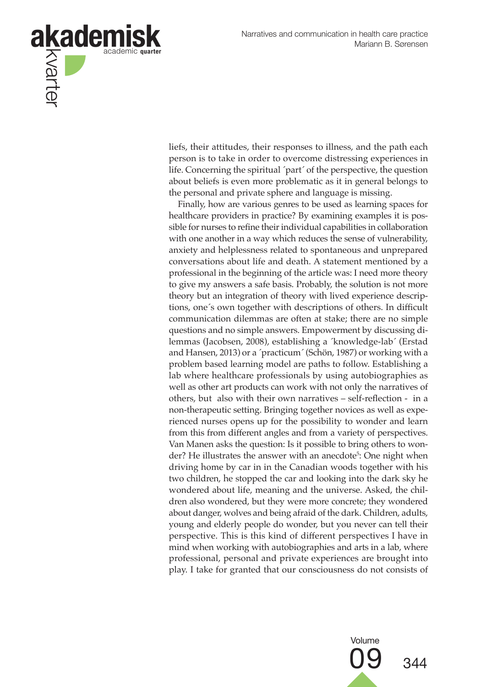

liefs, their attitudes, their responses to illness, and the path each person is to take in order to overcome distressing experiences in life. Concerning the spiritual ´part´ of the perspective, the question about beliefs is even more problematic as it in general belongs to the personal and private sphere and language is missing.

Finally, how are various genres to be used as learning spaces for healthcare providers in practice? By examining examples it is possible for nurses to refine their individual capabilities in collaboration with one another in a way which reduces the sense of vulnerability, anxiety and helplessness related to spontaneous and unprepared conversations about life and death. A statement mentioned by a professional in the beginning of the article was: I need more theory to give my answers a safe basis. Probably, the solution is not more theory but an integration of theory with lived experience descriptions, one´s own together with descriptions of others. In difficult communication dilemmas are often at stake; there are no simple questions and no simple answers. Empowerment by discussing dilemmas (Jacobsen, 2008), establishing a ´knowledge-lab´ (Erstad and Hansen, 2013) or a ´practicum´ (Schön, 1987) or working with a problem based learning model are paths to follow. Establishing a lab where healthcare professionals by using autobiographies as well as other art products can work with not only the narratives of others, but also with their own narratives – self-reflection - in a non-therapeutic setting. Bringing together novices as well as experienced nurses opens up for the possibility to wonder and learn from this from different angles and from a variety of perspectives. Van Manen asks the question: Is it possible to bring others to wonder? He illustrates the answer with an anecdote<sup>5</sup>: One night when driving home by car in in the Canadian woods together with his two children, he stopped the car and looking into the dark sky he wondered about life, meaning and the universe. Asked, the children also wondered, but they were more concrete; they wondered about danger, wolves and being afraid of the dark. Children, adults, young and elderly people do wonder, but you never can tell their perspective. This is this kind of different perspectives I have in mind when working with autobiographies and arts in a lab, where professional, personal and private experiences are brought into play. I take for granted that our consciousness do not consists of

Volume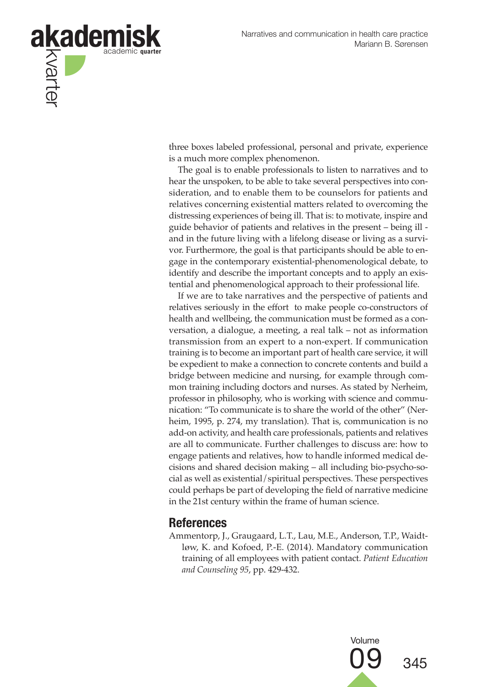

three boxes labeled professional, personal and private, experience is a much more complex phenomenon.

The goal is to enable professionals to listen to narratives and to hear the unspoken, to be able to take several perspectives into consideration, and to enable them to be counselors for patients and relatives concerning existential matters related to overcoming the distressing experiences of being ill. That is: to motivate, inspire and guide behavior of patients and relatives in the present – being ill and in the future living with a lifelong disease or living as a survivor. Furthermore, the goal is that participants should be able to engage in the contemporary existential-phenomenological debate, to identify and describe the important concepts and to apply an existential and phenomenological approach to their professional life.

If we are to take narratives and the perspective of patients and relatives seriously in the effort to make people co-constructors of health and wellbeing, the communication must be formed as a conversation, a dialogue, a meeting, a real talk – not as information transmission from an expert to a non-expert. If communication training is to become an important part of health care service, it will be expedient to make a connection to concrete contents and build a bridge between medicine and nursing, for example through common training including doctors and nurses. As stated by Nerheim, professor in philosophy, who is working with science and communication: "To communicate is to share the world of the other" (Nerheim, 1995, p. 274, my translation). That is, communication is no add-on activity, and health care professionals, patients and relatives are all to communicate. Further challenges to discuss are: how to engage patients and relatives, how to handle informed medical decisions and shared decision making – all including bio-psycho-social as well as existential/spiritual perspectives. These perspectives could perhaps be part of developing the field of narrative medicine in the 21st century within the frame of human science.

## **References**

Ammentorp, J., Graugaard, L.T., Lau, M.E., Anderson, T.P., Waidtløw, K. and Kofoed, P.-E. (2014). Mandatory communication training of all employees with patient contact. *Patient Education and Counseling 95*, pp. 429-432.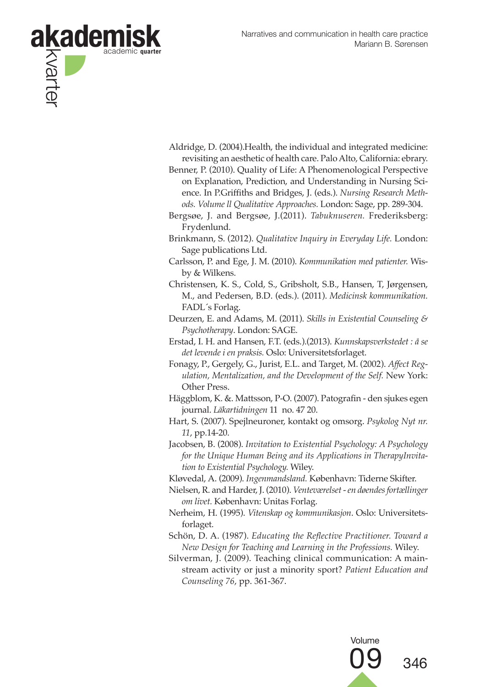

- Aldridge, D. (2004).Health, the individual and integrated medicine: revisiting an aesthetic of health care. Palo Alto, California: ebrary.
- Benner, P. (2010). Quality of Life: A Phenomenological Perspective on Explanation, Prediction, and Understanding in Nursing Science. In P.Griffiths and Bridges, J. (eds.). *Nursing Research Methods. Volume ll Qualitative Approaches.* London: Sage, pp. 289-304.
- Bergsøe, J. and Bergsøe, J.(2011). *Tabuknuseren.* Frederiksberg: Frydenlund.
- Brinkmann, S. (2012). *Qualitative Inquiry in Everyday Life.* London: Sage publications Ltd.
- Carlsson, P. and Ege, J. M. (2010). *Kommunikation med patienter.* Wisby & Wilkens.
- Christensen, K. S., Cold, S., Gribsholt, S.B., Hansen, T, Jørgensen, M., and Pedersen, B.D. (eds.). (2011). *Medicinsk kommunikation.* FADL´s Forlag.
- Deurzen, E. and Adams, M. (2011). *Skills in Existential Counseling & Psychotherapy*. London: SAGE.
- Erstad, I. H. and Hansen, F.T. (eds.).(2013). *Kunnskapsverkstedet : å se det levende i en praksis.* Oslo: Universitetsforlaget.
- Fonagy, P., Gergely, G., Jurist, E.L. and Target, M. (2002). *Affect Regulation, Mentalization, and the Development of the Self.* New York: Other Press.
- Häggblom, K. &. Mattsson, P-O. (2007). Patografin den sjukes egen journal. *Läkartidningen* 11 no. 47 20.
- Hart, S. (2007). Spejlneuroner, kontakt og omsorg. *Psykolog Nyt nr. 11*, pp.14-20.
- Jacobsen, B. (2008). *Invitation to Existential Psychology: A Psychology for the Unique Human Being and its Applications in TherapyInvitation to Existential Psychology.* Wiley.
- Kløvedal, A. (2009). *Ingenmandsland.* København: Tiderne Skifter.
- Nielsen, R. and Harder, J. (2010). *Venteværelset en døendes fortællinger om livet.* København: Unitas Forlag.
- Nerheim, H. (1995). *Vitenskap og kommunikasjon*. Oslo: Universitetsforlaget.
- Schön, D. A. (1987). *Educating the Reflective Practitioner. Toward a New Design for Teaching and Learning in the Professions.* Wiley.
- Silverman, J. (2009). Teaching clinical communication: A mainstream activity or just a minority sport? *Patient Education and Counseling 76*, pp. 361-367.

Volume